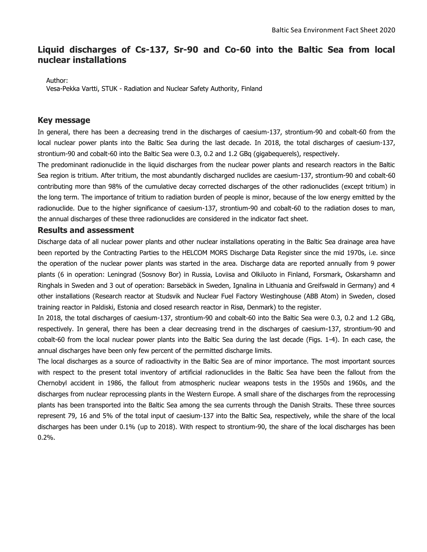# **Liquid discharges of Cs-137, Sr-90 and Co-60 into the Baltic Sea from local nuclear installations**

Author:

Vesa-Pekka Vartti, STUK - Radiation and Nuclear Safety Authority, Finland

# **Key message**

In general, there has been a decreasing trend in the discharges of caesium-137, strontium-90 and cobalt-60 from the local nuclear power plants into the Baltic Sea during the last decade. In 2018, the total discharges of caesium-137, strontium-90 and cobalt-60 into the Baltic Sea were 0.3, 0.2 and 1.2 GBq (gigabequerels), respectively.

The predominant radionuclide in the liquid discharges from the nuclear power plants and research reactors in the Baltic Sea region is tritium. After tritium, the most abundantly discharged nuclides are caesium-137, strontium-90 and cobalt-60 contributing more than 98% of the cumulative decay corrected discharges of the other radionuclides (except tritium) in the long term. The importance of tritium to radiation burden of people is minor, because of the low energy emitted by the radionuclide. Due to the higher significance of caesium-137, strontium-90 and cobalt-60 to the radiation doses to man, the annual discharges of these three radionuclides are considered in the indicator fact sheet.

### **Results and assessment**

Discharge data of all nuclear power plants and other nuclear installations operating in the Baltic Sea drainage area have been reported by the Contracting Parties to the HELCOM MORS Discharge Data Register since the mid 1970s, i.e. since the operation of the nuclear power plants was started in the area. Discharge data are reported annually from 9 power plants (6 in operation: Leningrad (Sosnovy Bor) in Russia, Loviisa and Olkiluoto in Finland, Forsmark, Oskarshamn and Ringhals in Sweden and 3 out of operation: Barsebäck in Sweden, Ignalina in Lithuania and Greifswald in Germany) and 4 other installations (Research reactor at Studsvik and Nuclear Fuel Factory Westinghouse (ABB Atom) in Sweden, closed training reactor in Paldiski, Estonia and closed research reactor in Risø, Denmark) to the register.

In 2018, the total discharges of caesium-137, strontium-90 and cobalt-60 into the Baltic Sea were 0.3, 0.2 and 1.2 GBq, respectively. In general, there has been a clear decreasing trend in the discharges of caesium-137, strontium-90 and cobalt-60 from the local nuclear power plants into the Baltic Sea during the last decade (Figs. 1-4). In each case, the annual discharges have been only few percent of the permitted discharge limits.

The local discharges as a source of radioactivity in the Baltic Sea are of minor importance. The most important sources with respect to the present total inventory of artificial radionuclides in the Baltic Sea have been the fallout from the Chernobyl accident in 1986, the fallout from atmospheric nuclear weapons tests in the 1950s and 1960s, and the discharges from nuclear reprocessing plants in the Western Europe. A small share of the discharges from the reprocessing plants has been transported into the Baltic Sea among the sea currents through the Danish Straits. These three sources represent 79, 16 and 5% of the total input of caesium-137 into the Baltic Sea, respectively, while the share of the local discharges has been under 0.1% (up to 2018). With respect to strontium-90, the share of the local discharges has been 0.2%.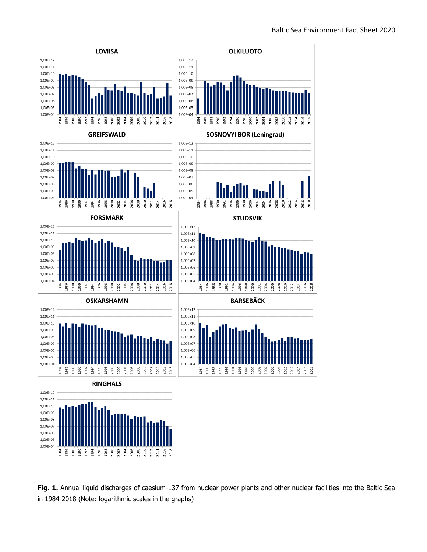

**Fig. 1.** Annual liquid discharges of caesium-137 from nuclear power plants and other nuclear facilities into the Baltic Sea in 1984-2018 (Note: logarithmic scales in the graphs)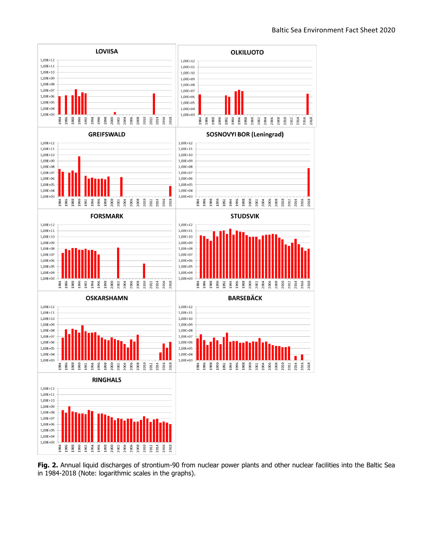

**Fig. 2.** Annual liquid discharges of strontium-90 from nuclear power plants and other nuclear facilities into the Baltic Sea in 1984-2018 (Note: logarithmic scales in the graphs).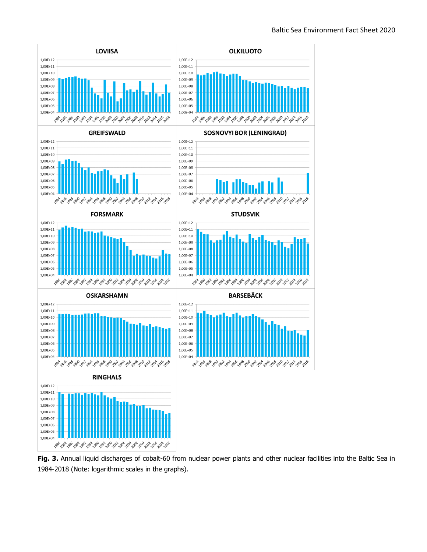

**Fig. 3.** Annual liquid discharges of cobalt-60 from nuclear power plants and other nuclear facilities into the Baltic Sea in 1984-2018 (Note: logarithmic scales in the graphs).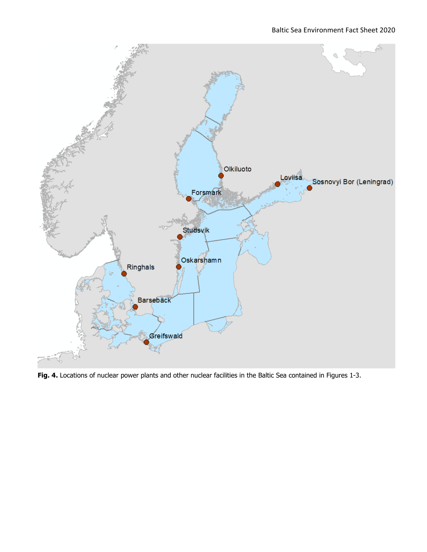

**Fig. 4.** Locations of nuclear power plants and other nuclear facilities in the Baltic Sea contained in Figures 1-3.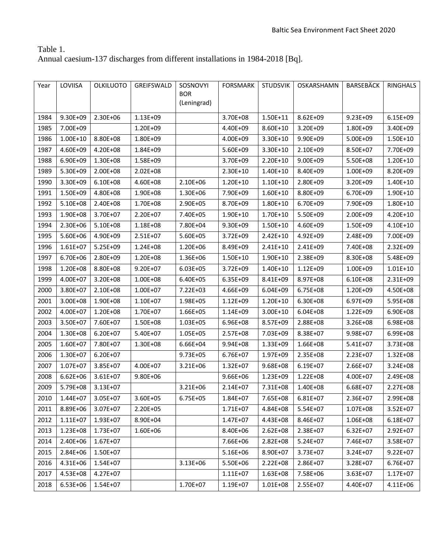# Table 1.

Annual caesium-137 discharges from different installations in 1984-2018 [Bq].

| Year | LOVIISA      | <b>OLKILUOTO</b> | GREIFSWALD | SOSNOVYI<br><b>BOR</b><br>(Leningrad) | <b>FORSMARK</b> | <b>STUDSVIK</b> | OSKARSHAMN   | <b>BARSEBÄCK</b> | RINGHALS     |
|------|--------------|------------------|------------|---------------------------------------|-----------------|-----------------|--------------|------------------|--------------|
| 1984 | 9.30E+09     | 2.30E+06         | 1.13E+09   |                                       | 3.70E+08        | $1.50E + 11$    | 8.62E+09     | 9.23E+09         | $6.15E + 09$ |
| 1985 | 7.00E+09     |                  | 1.20E+09   |                                       | 4.40E+09        | 8.60E+10        | 3.20E+09     | 1.80E+09         | 3.40E+09     |
| 1986 | 1.00E+10     | 8.80E+08         | 1.80E+09   |                                       | 4.00E+09        | 3.30E+10        | 9.90E+09     | 5.00E+09         | 1.50E+10     |
| 1987 | 4.60E+09     | 4.20E+08         | 1.84E+09   |                                       | 5.60E+09        | 3.30E+10        | 2.10E+09     | 8.50E+07         | 7.70E+09     |
| 1988 | 6.90E+09     | 1.30E+08         | 1.58E+09   |                                       | 3.70E+09        | 2.20E+10        | $9.00E + 09$ | 5.50E+08         | 1.20E+10     |
| 1989 | 5.30E+09     | 2.00E+08         | 2.02E+08   |                                       | 2.30E+10        | $1.40E + 10$    | 8.40E+09     | 1.00E+09         | 8.20E+09     |
| 1990 | 3.30E+09     | $6.10E + 08$     | 4.60E+08   | 2.10E+06                              | $1.20E + 10$    | $1.10E + 10$    | 2.80E+09     | 3.20E+09         | $1.40E + 10$ |
| 1991 | 1.50E+09     | 4.80E+08         | 1.90E+08   | 1.30E+06                              | 7.90E+09        | $1.60E + 10$    | 8.80E+09     | 6.70E+09         | 1.90E+10     |
| 1992 | 5.10E+08     | 2.40E+08         | 1.70E+08   | 2.90E+05                              | 8.70E+09        | $1.80E + 10$    | 6.70E+09     | 7.90E+09         | $1.80E + 10$ |
| 1993 | 1.90E+08     | 3.70E+07         | 2.20E+07   | 7.40E+05                              | 1.90E+10        | 1.70E+10        | 5.50E+09     | 2.00E+09         | 4.20E+10     |
| 1994 | 2.30E+06     | 5.10E+08         | 1.18E+08   | 7.80E+04                              | 9.30E+09        | $1.50E + 10$    | 4.60E+09     | 1.50E+09         | 4.10E+10     |
| 1995 | 5.60E+06     | 4.90E+09         | 2.51E+07   | 5.60E+05                              | 3.72E+09        | $2.42E+10$      | 4.92E+09     | 2.48E+09         | 7.00E+09     |
| 1996 | $1.61E + 07$ | 5.25E+09         | 1.24E+08   | 1.20E+06                              | 8.49E+09        | $2.41E+10$      | 2.41E+09     | 7.40E+08         | 2.32E+09     |
| 1997 | 6.70E+06     | 2.80E+09         | 1.20E+08   | 1.36E+06                              | $1.50E + 10$    | 1.90E+10        | 2.38E+09     | 8.30E+08         | 5.48E+09     |
| 1998 | 1.20E+08     | 8.80E+08         | 9.20E+07   | 6.03E+05                              | 3.72E+09        | 1.40E+10        | 1.12E+09     | 1.00E+09         | $1.01E + 10$ |
| 1999 | 4.00E+07     | 3.20E+08         | 1.00E+08   | 6.40E+05                              | 6.35E+09        | 8.41E+09        | 8.97E+08     | $6.10E + 08$     | 2.31E+09     |
| 2000 | 3.80E+07     | 2.10E+08         | 1.00E+07   | 7.22E+03                              | 4.66E+09        | 6.04E+09        | 6.75E+08     | 1.20E+09         | 4.50E+08     |
| 2001 | 3.00E+08     | 1.90E+08         | 1.10E+07   | 1.98E+05                              | 1.12E+09        | 1.20E+10        | 6.30E+08     | 6.97E+09         | 5.95E+08     |
| 2002 | 4.00E+07     | 1.20E+08         | 1.70E+07   | 1.66E+05                              | 1.14E+09        | $3.00E + 10$    | $6.04E + 08$ | 1.22E+09         | 6.90E+08     |
| 2003 | 3.50E+07     | 7.60E+07         | 1.50E+08   | 1.03E+05                              | 6.96E+08        | 8.57E+09        | 2.88E+08     | 3.26E+08         | 6.98E+08     |
| 2004 | 1.30E+08     | 6.20E+07         | 5.40E+07   | 1.05E+05                              | 2.57E+08        | 7.03E+09        | 8.38E+07     | 9.98E+07         | 6.99E+08     |
| 2005 | 1.60E+07     | 7.80E+07         | 1.30E+08   | 6.66E+04                              | 9.94E+08        | 1.33E+09        | 1.66E+08     | 5.41E+07         | 3.73E+08     |
| 2006 | 1.30E+07     | 6.20E+07         |            | 9.73E+05                              | 6.76E+07        | 1.97E+09        | 2.35E+08     | 2.23E+07         | 1.32E+08     |
| 2007 | 1.07E+07     | 3.85E+07         | 4.00E+07   | 3.21E+06                              | 1.32E+07        | 9.68E+08        | 6.19E+07     | 2.66E+07         | 3.24E+08     |
| 2008 | $6.62E + 06$ | 3.61E+07         | 9.80E+06   |                                       | 9.66E+06        | 1.23E+09        | 1.22E+08     | 4.00E+07         | 2.49E+08     |
| 2009 | 5.79E+08     | 3.13E+07         |            | 3.21E+06                              | 2.14E+07        | 7.31E+08        | 1.40E+08     | 6.68E+07         | 2.27E+08     |
| 2010 | 1.44E+07     | 3.05E+07         | 3.60E+05   | 6.75E+05                              | 1.84E+07        | 7.65E+08        | 6.81E+07     | 2.36E+07         | 2.99E+08     |
| 2011 | 8.89E+06     | 3.07E+07         | 2.20E+05   |                                       | 1.71E+07        | 4.84E+08        | 5.54E+07     | 1.07E+08         | 3.52E+07     |
| 2012 | $1.11E + 07$ | 1.93E+07         | 8.90E+04   |                                       | 1.47E+07        | 4.43E+08        | 8.46E+07     | 1.06E+08         | $6.18E + 07$ |
| 2013 | 1.23E+08     | 1.73E+07         | 1.60E+06   |                                       | 8.40E+06        | 2.62E+08        | 2.38E+07     | $6.32E + 07$     | 2.92E+07     |
| 2014 | 2.40E+06     | $1.67E + 07$     |            |                                       | 7.66E+06        | 2.82E+08        | 5.24E+07     | 7.46E+07         | 3.58E+07     |
| 2015 | 2.84E+06     | 1.50E+07         |            |                                       | 5.16E+06        | 8.90E+07        | 3.73E+07     | 3.24E+07         | $9.22E + 07$ |
| 2016 | 4.31E+06     | 1.54E+07         |            | 3.13E+06                              | 5.50E+06        | 2.22E+08        | 2.86E+07     | 3.28E+07         | 6.76E+07     |
| 2017 | 4.53E+08     | 4.27E+07         |            |                                       | $1.11E + 07$    | 1.63E+08        | 7.58E+06     | 3.63E+07         | $1.17E + 07$ |
| 2018 | 6.53E+06     | 1.54E+07         |            | 1.70E+07                              | 1.19E+07        | 1.01E+08        | 2.55E+07     | 4.40E+07         | 4.11E+06     |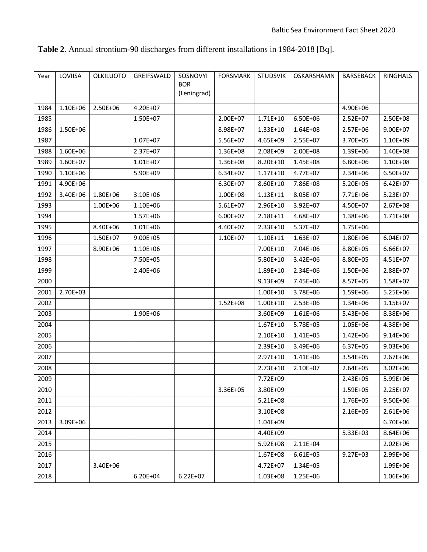| Year | LOVIISA  | <b>OLKILUOTO</b> | GREIFSWALD   | SOSNOVYI<br><b>BOR</b><br>(Leningrad) | <b>FORSMARK</b> | <b>STUDSVIK</b> | OSKARSHAMN   | <b>BARSEBÄCK</b> | <b>RINGHALS</b> |
|------|----------|------------------|--------------|---------------------------------------|-----------------|-----------------|--------------|------------------|-----------------|
| 1984 | 1.10E+06 | 2.50E+06         | 4.20E+07     |                                       |                 |                 |              | 4.90E+06         |                 |
| 1985 |          |                  | 1.50E+07     |                                       | 2.00E+07        | 1.71E+10        | 6.50E+06     | $2.52E+07$       | 2.50E+08        |
| 1986 | 1.50E+06 |                  |              |                                       | 8.98E+07        | 1.33E+10        | 1.64E+08     | 2.57E+06         | $9.00E + 07$    |
| 1987 |          |                  | 1.07E+07     |                                       | 5.56E+07        | 4.65E+09        | 2.55E+07     | 3.70E+05         | 1.10E+09        |
| 1988 | 1.60E+06 |                  | 2.37E+07     |                                       | 1.36E+08        | 2.08E+09        | 2.00E+08     | 1.39E+06         | 1.40E+08        |
| 1989 | 1.60E+07 |                  | $1.01E + 07$ |                                       | 1.36E+08        | 8.20E+10        | 1.45E+08     | 6.80E+06         | 1.10E+08        |
| 1990 | 1.10E+06 |                  | 5.90E+09     |                                       | 6.34E+07        | $1.17E + 10$    | 4.77E+07     | 2.34E+06         | 6.50E+07        |
| 1991 | 4.90E+06 |                  |              |                                       | 6.30E+07        | 8.60E+10        | 7.86E+08     | 5.20E+05         | $6.42E + 07$    |
| 1992 | 3.40E+06 | 1.80E+06         | 3.10E+06     |                                       | 1.00E+08        | $1.13E+11$      | 8.05E+07     | 7.71E+06         | 5.23E+07        |
| 1993 |          | 1.00E+06         | 1.10E+06     |                                       | 5.61E+07        | 2.96E+10        | 3.92E+07     | 4.50E+07         | 2.67E+08        |
| 1994 |          |                  | 1.57E+06     |                                       | 6.00E+07        | 2.18E+11        | 4.68E+07     | 1.38E+06         | 1.71E+08        |
| 1995 |          | 8.40E+06         | 1.01E+06     |                                       | 4.40E+07        | 2.33E+10        | 5.37E+07     | 1.75E+06         |                 |
| 1996 |          | 1.50E+07         | $9.00E + 05$ |                                       | 1.10E+07        | $1.10E + 11$    | 1.63E+07     | 1.80E+06         | $6.04E + 07$    |
| 1997 |          | 8.90E+06         | 1.10E+06     |                                       |                 | 7.00E+10        | 7.04E+06     | 8.80E+05         | 6.66E+07        |
| 1998 |          |                  | 7.50E+05     |                                       |                 | 5.80E+10        | 3.42E+06     | 8.80E+05         | 4.51E+07        |
| 1999 |          |                  | 2.40E+06     |                                       |                 | 1.89E+10        | 2.34E+06     | 1.50E+06         | 2.88E+07        |
| 2000 |          |                  |              |                                       |                 | 9.13E+09        | 7.45E+06     | 8.57E+05         | 1.58E+07        |
| 2001 | 2.70E+03 |                  |              |                                       |                 | $1.00E + 10$    | 3.78E+06     | 1.59E+06         | 5.25E+06        |
| 2002 |          |                  |              |                                       | 1.52E+08        | $1.00E + 10$    | 2.53E+06     | 1.34E+06         | 1.15E+07        |
| 2003 |          |                  | 1.90E+06     |                                       |                 | 3.60E+09        | 1.61E+06     | 5.43E+06         | 8.38E+06        |
| 2004 |          |                  |              |                                       |                 | $1.67E + 10$    | 5.78E+05     | 1.05E+06         | 4.38E+06        |
| 2005 |          |                  |              |                                       |                 | 2.10E+10        | 1.41E+05     | 1.42E+06         | 9.14E+06        |
| 2006 |          |                  |              |                                       |                 | 2.39E+10        | 3.49E+06     | 6.37E+05         | $9.03E + 06$    |
| 2007 |          |                  |              |                                       |                 | 2.97E+10        | 1.41E+06     | 3.54E+05         | 2.67E+06        |
| 2008 |          |                  |              |                                       |                 | 2.73E+10        | 2.10E+07     | 2.64E+05         | $3.02E + 06$    |
| 2009 |          |                  |              |                                       |                 | 7.72E+09        |              | 2.43E+05         | 5.99E+06        |
| 2010 |          |                  |              |                                       | 3.36E+05        | 3.80E+09        |              | 1.59E+05         | 2.25E+07        |
| 2011 |          |                  |              |                                       |                 | 5.21E+08        |              | 1.76E+05         | 9.50E+06        |
| 2012 |          |                  |              |                                       |                 | 3.10E+08        |              | 2.16E+05         | $2.61E + 06$    |
| 2013 | 3.09E+06 |                  |              |                                       |                 | 1.04E+09        |              |                  | 6.70E+06        |
| 2014 |          |                  |              |                                       |                 | 4.40E+09        |              | 5.33E+03         | 8.64E+06        |
| 2015 |          |                  |              |                                       |                 | 5.92E+08        | $2.11E + 04$ |                  | 2.02E+06        |
| 2016 |          |                  |              |                                       |                 | 1.67E+08        | 6.61E+05     | $9.27E + 03$     | 2.99E+06        |
| 2017 |          | 3.40E+06         |              |                                       |                 | 4.72E+07        | 1.34E+05     |                  | 1.99E+06        |
| 2018 |          |                  | $6.20E + 04$ | $6.22E + 07$                          |                 | 1.03E+08        | 1.25E+06     |                  | 1.06E+06        |

**Table 2**. Annual strontium-90 discharges from different installations in 1984-2018 [Bq].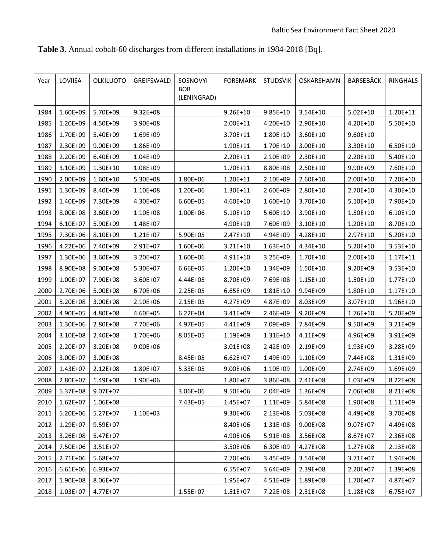| Year | LOVIISA      | <b>OLKILUOTO</b> | GREIFSWALD   | SOSNOVYI<br><b>BOR</b><br>(LENINGRAD) | <b>FORSMARK</b> | <b>STUDSVIK</b> | OSKARSHAMN   | BARSEBÄCK    | <b>RINGHALS</b> |
|------|--------------|------------------|--------------|---------------------------------------|-----------------|-----------------|--------------|--------------|-----------------|
| 1984 | 1.60E+09     | 5.70E+09         | $9.32E + 08$ |                                       | $9.26E + 10$    | $9.85E+10$      | 3.54E+10     | $5.02E+10$   | 1.20E+11        |
| 1985 | 1.20E+09     | 4.50E+09         | 3.90E+08     |                                       | $2.00E + 11$    | 4.20E+10        | 2.90E+10     | 4.20E+10     | 5.50E+10        |
| 1986 | 1.70E+09     | 5.40E+09         | 1.69E+09     |                                       | 3.70E+11        | $1.80E + 10$    | $3.60E + 10$ | $9.60E + 10$ |                 |
| 1987 | 2.30E+09     | 9.00E+09         | 1.86E+09     |                                       | $1.90E + 11$    | 1.70E+10        | $3.00E+10$   | 3.30E+10     | 6.50E+10        |
| 1988 | 2.20E+09     | 6.40E+09         | 1.04E+09     |                                       | 2.20E+11        | 2.10E+09        | 2.30E+10     | 2.20E+10     | $5.40E+10$      |
| 1989 | 3.10E+09     | 1.30E+10         | 1.08E+09     |                                       | 1.70E+11        | 8.80E+08        | 2.50E+10     | 9.90E+09     | 7.60E+10        |
| 1990 | 2.00E+09     | 1.60E+10         | 5.30E+08     | 1.80E+06                              | 1.20E+11        | 2.10E+09        | 2.60E+10     | 2.00E+10     | 7.20E+10        |
| 1991 | 1.30E+09     | 8.40E+09         | 1.10E+08     | 1.20E+06                              | 1.30E+11        | 2.60E+09        | 2.80E+10     | 2.70E+10     | 4.30E+10        |
| 1992 | 1.40E+09     | 7.30E+09         | 4.30E+07     | 6.60E+05                              | $4.60E + 10$    | $1.60E + 10$    | 3.70E+10     | $5.10E+10$   | 7.90E+10        |
| 1993 | 8.00E+08     | 3.60E+09         | 1.10E+08     | 1.00E+06                              | $5.10E + 10$    | $5.60E+10$      | 3.90E+10     | $1.50E + 10$ | $6.10E + 10$    |
| 1994 | 6.10E+07     | 5.90E+09         | 1.48E+07     |                                       | 4.90E+10        | 7.60E+09        | 3.10E+10     | 1.20E+10     | 8.70E+10        |
| 1995 | 7.30E+06     | 8.10E+09         | 1.21E+07     | 5.90E+05                              | $2.47E + 10$    | 4.94E+09        | 4.28E+10     | 2.97E+10     | 5.20E+10        |
| 1996 | 4.22E+06     | 7.40E+09         | 2.91E+07     | 1.60E+06                              | $3.21E+10$      | $1.63E + 10$    | 4.34E+10     | $5.20E+10$   | 3.53E+10        |
| 1997 | 1.30E+06     | 3.60E+09         | 3.20E+07     | 1.60E+06                              | 4.91E+10        | 3.25E+09        | 1.70E+10     | 2.00E+10     | $1.17E + 11$    |
| 1998 | 8.90E+08     | 9.00E+08         | 5.30E+07     | 6.66E+05                              | $1.20E + 10$    | 1.34E+09        | $1.50E + 10$ | 9.20E+09     | 3.53E+10        |
| 1999 | 1.00E+07     | 7.90E+08         | 3.60E+07     | 4.44E+05                              | 8.70E+09        | 7.69E+08        | $1.15E + 10$ | $1.50E + 10$ | $1.77E + 10$    |
| 2000 | 2.70E+06     | 5.00E+08         | 6.70E+06     | 2.25E+05                              | 6.65E+09        | $1.81E + 10$    | 9.94E+09     | 1.80E+10     | $1.17E + 10$    |
| 2001 | 5.20E+08     | 3.00E+08         | 2.10E+06     | 2.15E+05                              | 4.27E+09        | 4.87E+09        | 8.03E+09     | $3.07E + 10$ | 1.96E+10        |
| 2002 | 4.90E+05     | 4.80E+08         | 4.60E+05     | $6.22E + 04$                          | 3.41E+09        | 2.46E+09        | 9.20E+09     | 1.76E+10     | 5.20E+09        |
| 2003 | 1.30E+06     | 2.80E+08         | 7.70E+06     | 4.97E+05                              | 4.41E+09        | 7.09E+09        | 7.84E+09     | 9.50E+09     | 3.21E+09        |
| 2004 | 3.10E+08     | 2.40E+08         | 1.70E+06     | 8.05E+05                              | 1.19E+09        | $1.31E+10$      | 4.11E+09     | 4.96E+09     | 3.91E+09        |
| 2005 | 2.20E+07     | 3.20E+08         | 9.00E+06     |                                       | 3.01E+08        | 2.42E+09        | 2.19E+09     | 1.93E+09     | 3.28E+09        |
| 2006 | 3.00E+07     | 3.00E+08         |              | 8.45E+05                              | $6.62E + 07$    | 1.49E+09        | 1.10E+09     | 7.44E+08     | 1.31E+09        |
| 2007 | 1.43E+07     | 2.12E+08         | 1.80E+07     | 5.33E+05                              | $9.00E + 06$    | 1.10E+09        | 1.00E+09     | 2.74E+09     | 1.69E+09        |
| 2008 | 2.80E+07     | 1.49E+08         | 1.90E+06     |                                       | 1.80E+07        | 3.86E+08        | 7.41E+08     | 1.03E+09     | 8.22E+08        |
| 2009 | 5.37E+08     | 9.07E+07         |              | 3.06E+06                              | 9.50E+06        | 2.04E+09        | 1.36E+09     | 7.06E+08     | 8.21E+08        |
| 2010 | $1.62E + 07$ | 1.06E+08         |              | 7.43E+05                              | 1.45E+07        | 1.11E+09        | 5.84E+08     | 1.90E+08     | 1.11E+09        |
| 2011 | 5.20E+06     | 5.27E+07         | 1.10E+03     |                                       | 9.30E+06        | 2.13E+08        | 5.03E+08     | 4.49E+08     | 3.70E+08        |
| 2012 | 1.29E+07     | 9.59E+07         |              |                                       | 8.40E+06        | 1.31E+08        | 9.00E+08     | 9.07E+07     | 4.49E+08        |
| 2013 | 3.26E+08     | 5.47E+07         |              |                                       | 4.90E+06        | 5.91E+08        | 3.56E+08     | 8.67E+07     | 2.36E+08        |
| 2014 | 7.50E+06     | 3.51E+07         |              |                                       | 3.50E+06        | 6.30E+09        | 4.27E+08     | 1.27E+08     | 2.13E+08        |
| 2015 | 2.71E+06     | 5.68E+07         |              |                                       | 7.70E+06        | 3.45E+09        | 3.54E+08     | 3.71E+07     | 1.94E+08        |
| 2016 | 6.61E+06     | 6.93E+07         |              |                                       | 6.55E+07        | 3.64E+09        | 2.39E+08     | 2.20E+07     | 1.39E+08        |
| 2017 | 1.90E+08     | 8.06E+07         |              |                                       | 1.95E+07        | 4.51E+09        | 1.89E+08     | 1.70E+07     | 4.87E+07        |
| 2018 | 1.03E+07     | 4.77E+07         |              | 1.55E+07                              | 1.51E+07        | 7.22E+08        | 2.31E+08     | 1.18E+08     | 6.75E+07        |

**Table 3**. Annual cobalt-60 discharges from different installations in 1984-2018 [Bq].